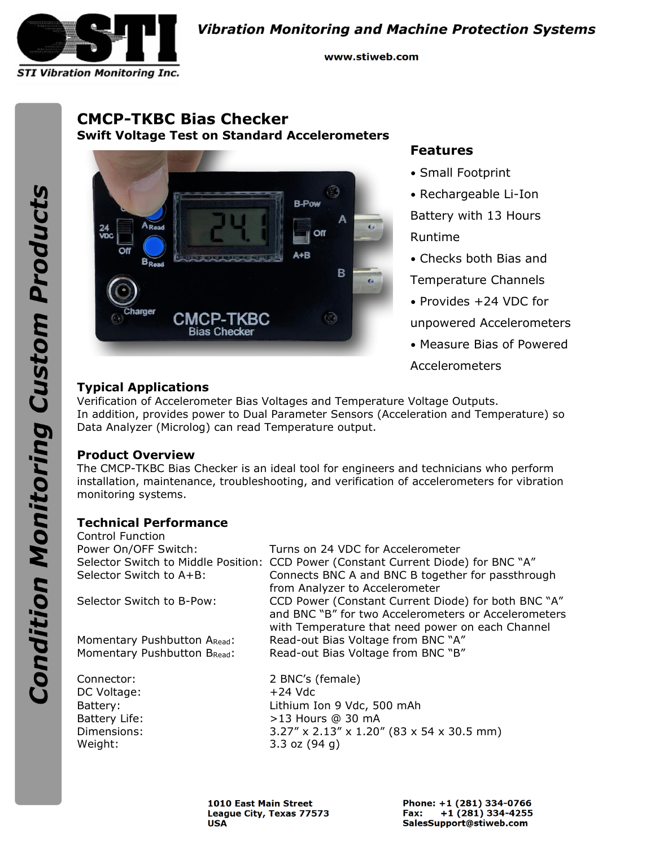

**Vibration Monitoring and Machine Protection Systems** 

www.stiweb.com

# **CMCP-TKBC Bias Checker Swift Voltage Test on Standard Accelerometers**



## **Features**

- Small Footprint
- Rechargeable Li-Ion

Battery with 13 Hours Runtime

• Checks both Bias and

Temperature Channels

• Provides +24 VDC for

unpowered Accelerometers

• Measure Bias of Powered

Accelerometers

## **Typical Applications**

Verification of Accelerometer Bias Voltages and Temperature Voltage Outputs. In addition, provides power to Dual Parameter Sensors (Acceleration and Temperature) so Data Analyzer (Microlog) can read Temperature output.

### **Product Overview**

The CMCP-TKBC Bias Checker is an ideal tool for engineers and technicians who perform installation, maintenance, troubleshooting, and verification of accelerometers for vibration monitoring systems.

## **Technical Performance**

| Control Function            |                                                                                                                                                                 |
|-----------------------------|-----------------------------------------------------------------------------------------------------------------------------------------------------------------|
| Power On/OFF Switch:        | Turns on 24 VDC for Accelerometer                                                                                                                               |
|                             | Selector Switch to Middle Position: CCD Power (Constant Current Diode) for BNC "A"                                                                              |
| Selector Switch to A+B:     | Connects BNC A and BNC B together for passthrough<br>from Analyzer to Accelerometer                                                                             |
| Selector Switch to B-Pow:   | CCD Power (Constant Current Diode) for both BNC "A"<br>and BNC "B" for two Accelerometers or Accelerometers<br>with Temperature that need power on each Channel |
| Momentary Pushbutton ARead: | Read-out Bias Voltage from BNC "A"                                                                                                                              |
| Momentary Pushbutton BRead: | Read-out Bias Voltage from BNC "B"                                                                                                                              |
| Connector:                  | 2 BNC's (female)                                                                                                                                                |
| DC Voltage:                 | $+24$ Vdc                                                                                                                                                       |
| Battery:                    | Lithium Ion 9 Vdc, 500 mAh                                                                                                                                      |
| Battery Life:               | $>13$ Hours @ 30 mA                                                                                                                                             |
| Dimensions:                 | $3.27''$ x 2.13" x 1.20" (83 x 54 x 30.5 mm)                                                                                                                    |
| Weight:                     | 3.3 oz $(94 q)$                                                                                                                                                 |